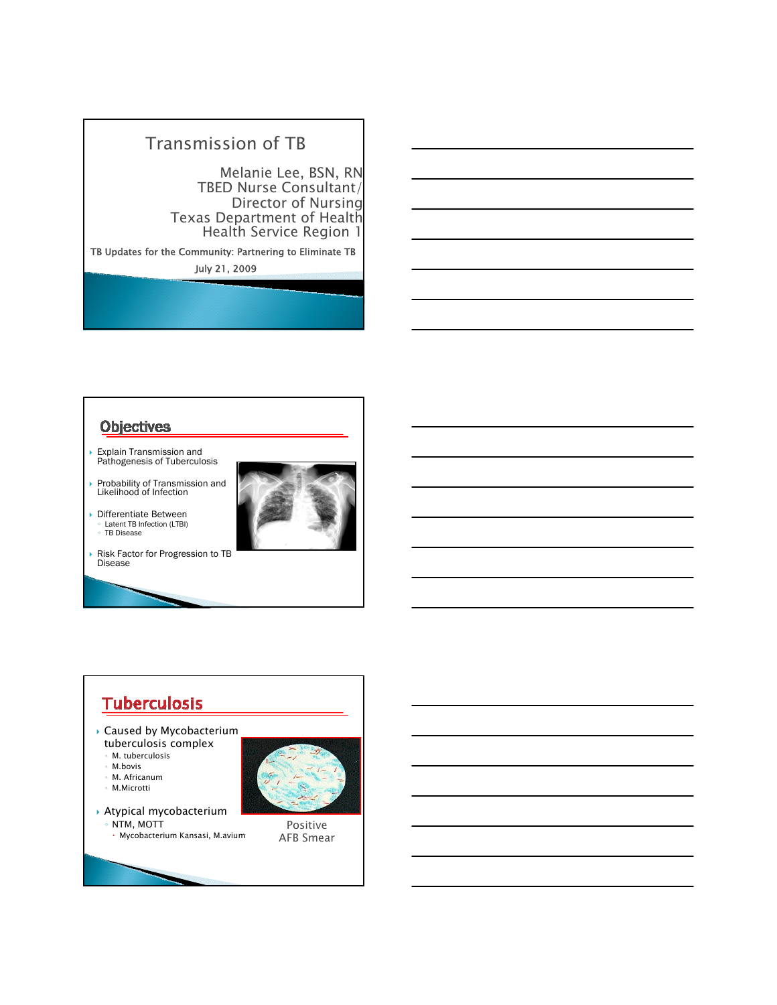## Transmission of TB

Melanie Lee, BSN, RN TBED Nurse Consultant/ Director of Nursing<br>Texas Department of Health Health Service Region 1

TB Updates for the Community: Partnering to Eliminate TB July 21, 2009

#### **Objectives**

- Explain Transmission and Pathogenesis of Tuberculosis
- ` Probability of Transmission and Likelihood of Infection



- **Differentiate Between** ◦ Latent TB Infection (LTBI) ◦ TB Disease
- Risk Factor for Progression to TB **Disease**

#### **Tuberculosis**  $\blacktriangleright$  Caused by Mycobacterium tuberculosis complex ◦ M. tuberculosis ◦ M.bovis M. Africanum ◦ M.Microtti  $\rightarrow$  Atypical mycobacterium ◦ NTM, MOTT Positive x Mycobacterium Kansasi, M.avium AFB Smear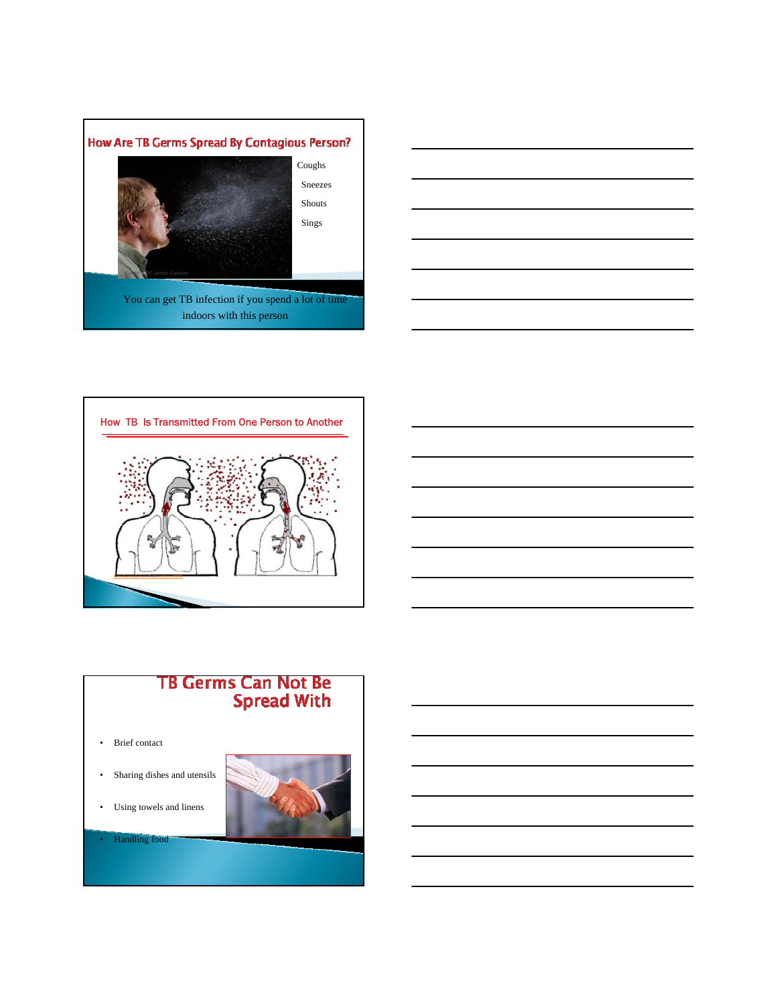







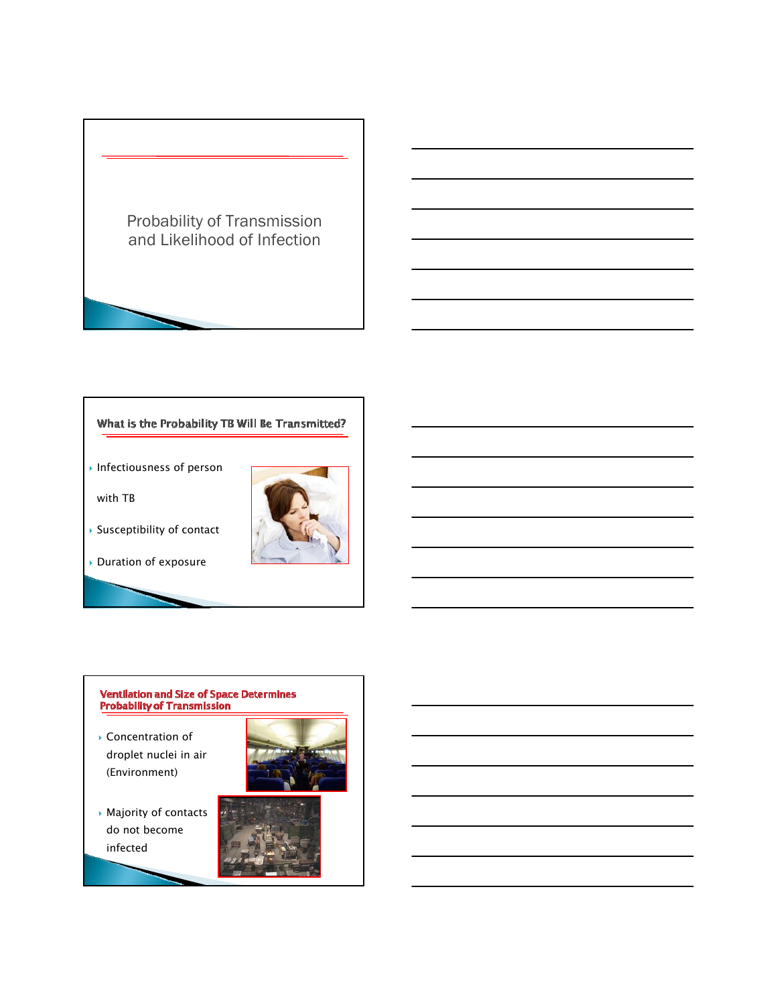

#### What is the Probability TB Will Be Transmitted?

 $\overline{\phantom{a}}$  Infectiousness of person

with TB



` Duration of exposure

# **Ventilation and Size of Space Determines<br>Probability of Transmission**

- **Concentration of** droplet nuclei in air (Environment)
- 
- **Majority of contacts** do not become infected



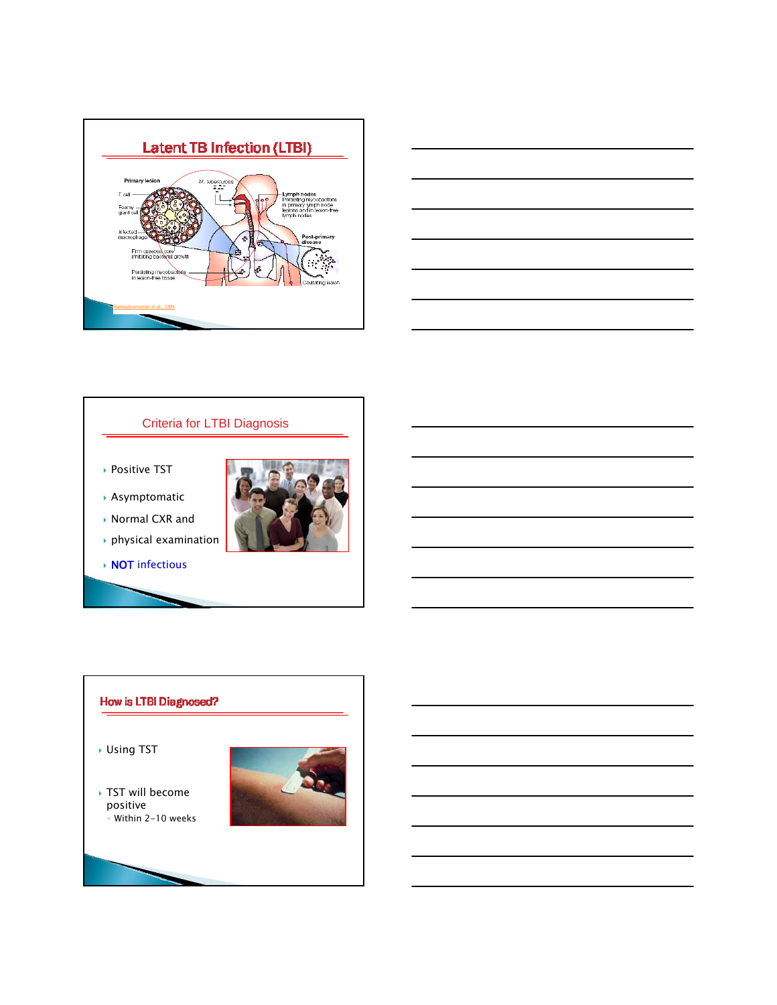



#### Criteria for LTBI Diagnosis

- ▶ Positive TST
- ` Asymptomatic

▶ Normal CXR and



- $\rightarrow$  physical examination
- **NOT** infectious

#### How is LTBI Diagnosed?

` Using TST

▶ TST will become positive ◦ Within 2-10 weeks

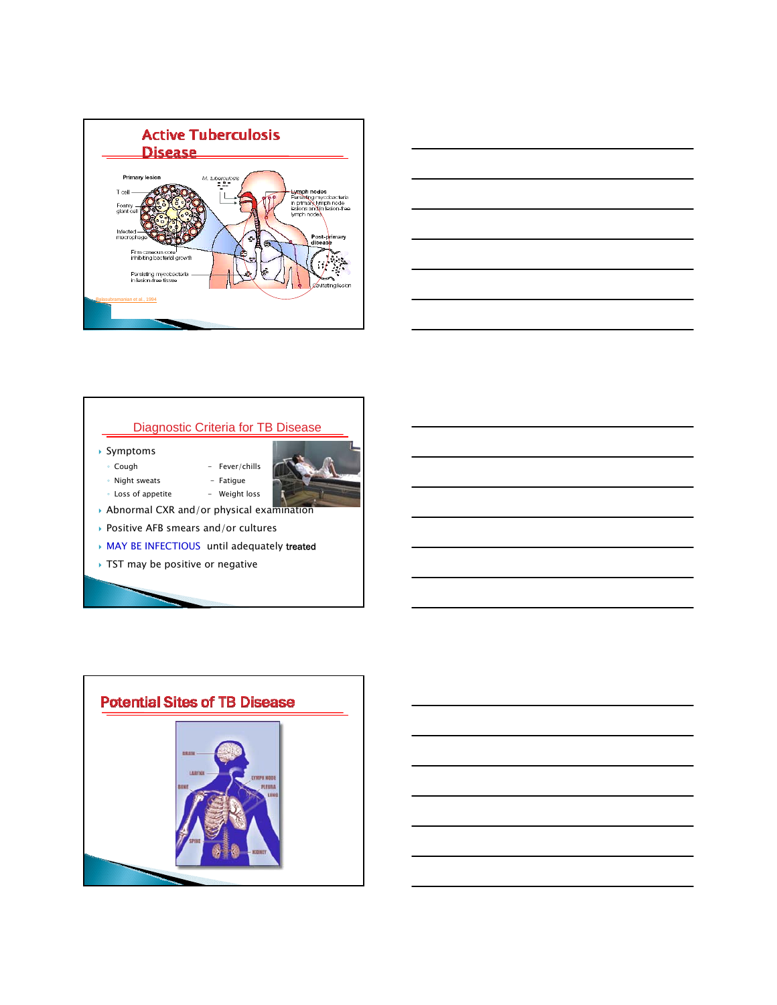



#### Diagnostic Criteria for TB Disease

- ` Symptoms
- Cough Fever/chills
- Night sweats Fatigue



- $\rightarrow$  Positive AFB smears and/or cultures
- **MAY BE INFECTIOUS** until adequately treated
- $\rightarrow$  TST may be positive or negative

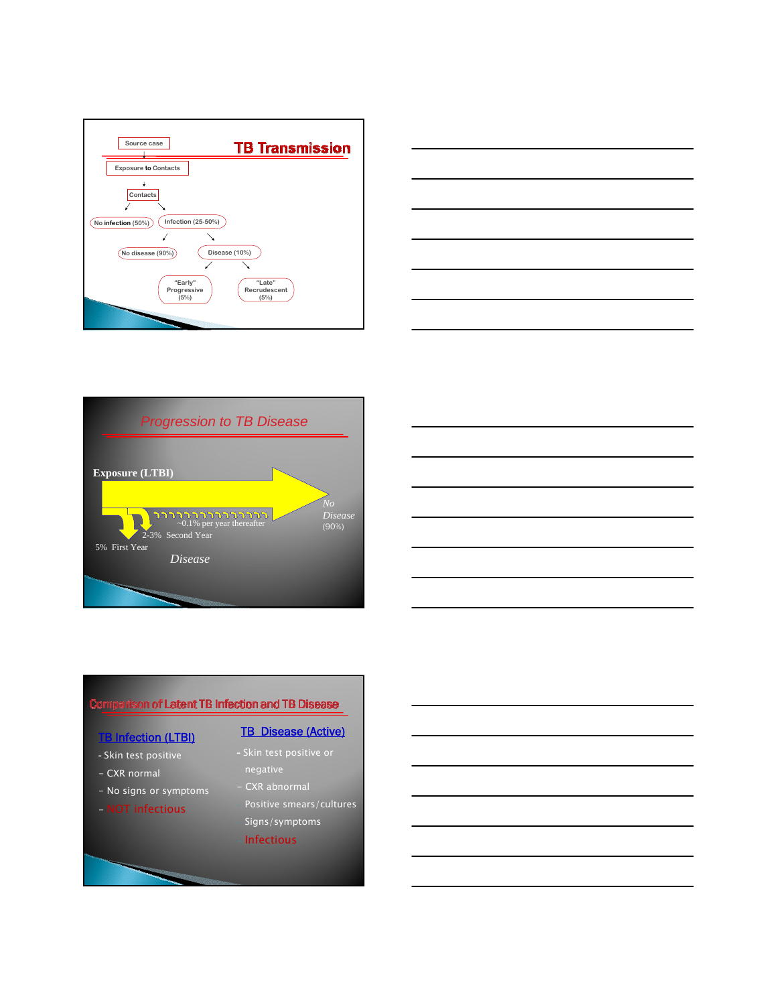







#### Comparison of Latent TB Infection and TB Disease

#### **TB Infection (LTBI)**

- Skin test positive
- CXR normal
- No signs or symptoms
- NOT infectious

#### **TB Disease (Active)**

- negative
- 
- Positive smears/cultures Signs/symptoms
- **Infectious**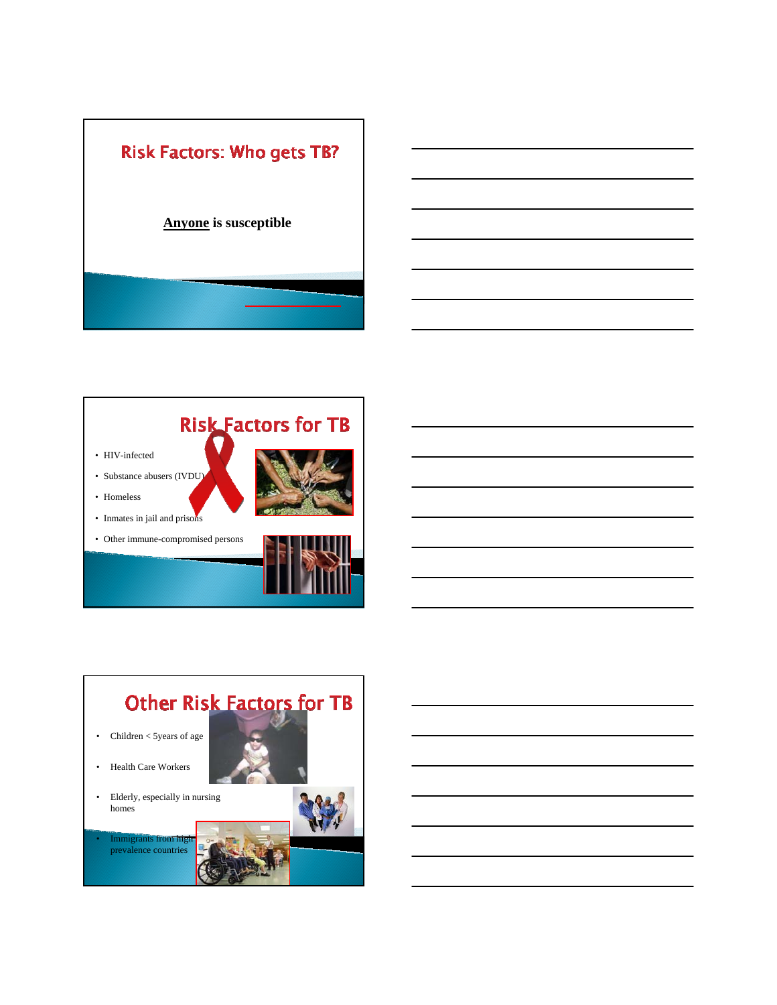



- HIV-infected
- Substance abusers (IVDU)

• Inmates in jail and prisons





• Other immune-compromised persons